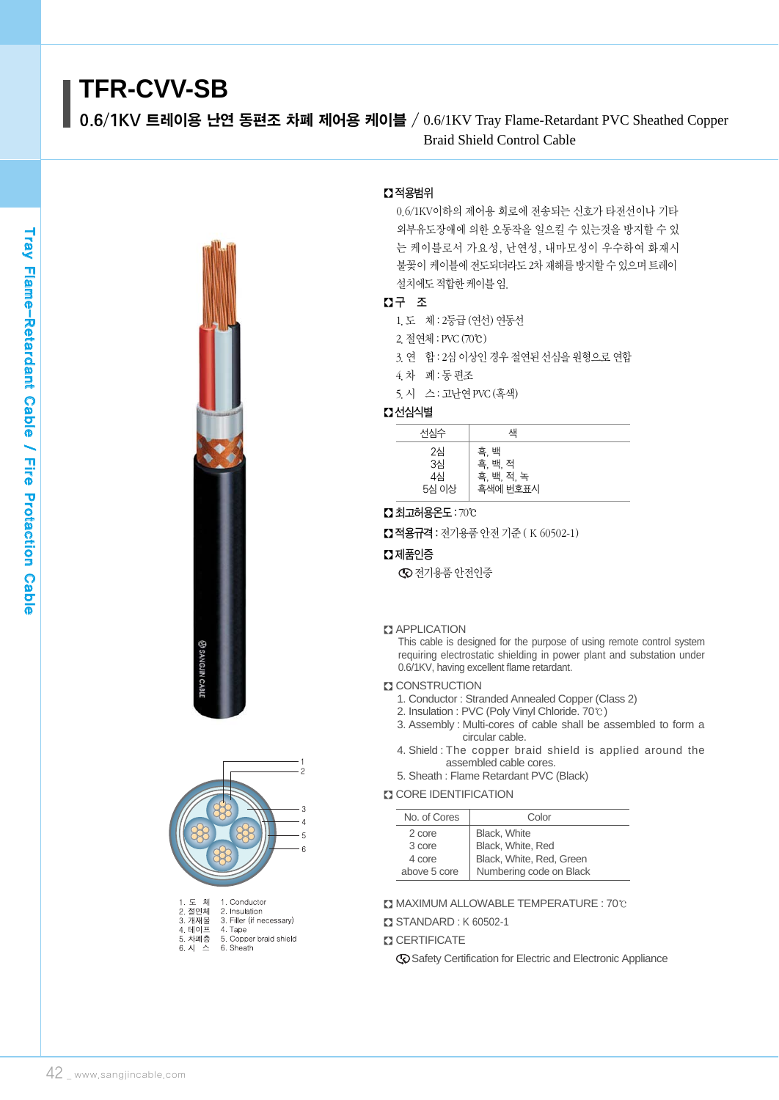# **TFR-CVV-SB**

0.6/1KV 트레이용 난연 동편조 차폐 제어용 케이블 / 0.6/1KV Tray Flame-Retardant PVC Sheathed Copper Braid Shield Control Cable





| 2. 설언제 | 2. Insulation            |
|--------|--------------------------|
| 3. 개재물 | 3. Filler (if necessary) |
| 4. 테이프 | 4. Tape                  |
| 5. 차폐층 | 5. Copper braid shield   |
| 3. 시 스 | 6. Sheath                |
|        |                          |

# � 적용범위

0.6/1KV이하의 제어용 회로에 전송되는 신호가 타전선이나 기타 외부유도장애에 의한 오동작을 일으킬 수 있는것을 방지할 수 있 는 케이블로서 가요성, 난연성, 내마모성이 우수하여 화재시 불꽃이 케이블에 전도되더라도 2차 재해를 방지할 수 있으며 트레이 설치에도적합한케이블임.

# � 구 조

- 1.도 체 : 2등급 (연선) 연동선
- 2.절연체 : PVC(70℃)
- 3.연 합 : 2심 이상인 경우 절연된 선심을 원형으로 연합
- 4.차 폐 : 동 편조
- 5.시 스 : 고난연PVC(흑색)

# � 선심식별

| 선심수                     | 색                                         |  |
|-------------------------|-------------------------------------------|--|
| 2심<br>3심<br>4심<br>5심 이상 | 흑, 백<br>흑, 백, 적<br>흑, 백, 적, 녹<br>흑색에 번호표시 |  |

## � 최고허용온도: 70℃

■ 적용규격 : 전기용품 안전 기준 (K 60502-1)

## $\square$  제품인증

전기용품 안전인증

#### **Z** APPLICATION

This cable is designed for the purpose of using remote control system requiring electrostatic shielding in power plant and substation under 0.6/1KV, having excellent flame retardant.

# **ET CONSTRUCTION**

- 1. Conductor : Stranded Annealed Copper (Class 2)
- 2. Insulation : PVC (Poly Vinyl Chloride. 70℃)
- 3. Assembly : Multi-cores of cable shall be assembled to form a circular cable.
- 4. Shield : The copper braid shield is applied around the assembled cable cores.
- 5. Sheath : Flame Retardant PVC (Black)

# **CORE IDENTIFICATION**

| No. of Cores | Color                    |  |  |  |  |
|--------------|--------------------------|--|--|--|--|
| 2 core       | Black, White             |  |  |  |  |
| 3 core       | Black, White, Red        |  |  |  |  |
| 4 core       | Black, White, Red, Green |  |  |  |  |
| above 5 core | Numbering code on Black  |  |  |  |  |

#### � MAXIMUM ALLOWABLE TEMPERATURE : 70℃

- � STANDARD : K 60502-1
- **Z CERTIFICATE** 
	- Safety Certification for Electric and Electronic Appliance